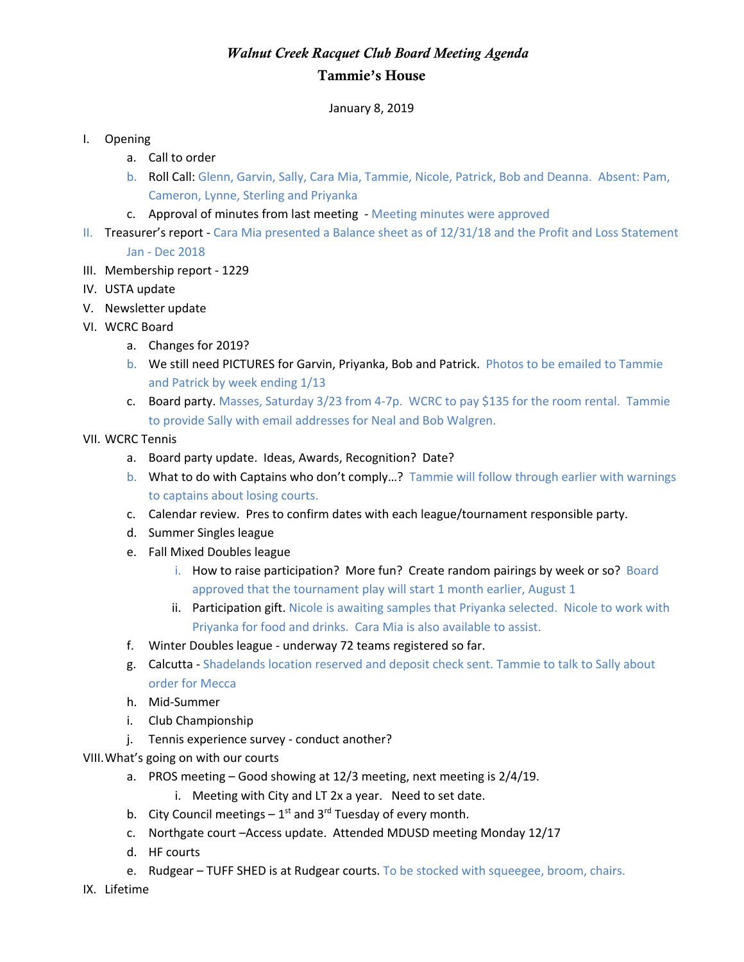## *Walnut Creek Racquet Club Board Meeting Agenda* Tammie's House

January 8, 2019

## I. Opening

- a. Call to order
- b. Roll Call: Glenn, Garvin, Sally, Cara Mia, Tammie, Nicole, Patrick, Bob and Deanna. Absent: Pam, Cameron, Lynne, Sterling and Priyanka
- c. Approval of minutes from last meeting Meeting minutes were approved
- II. Treasurer's report Cara Mia presented a Balance sheet as of 12/31/18 and the Profit and Loss Statement Jan - Dec 2018
- III. Membership report 1229
- IV. USTA update
- V. Newsletter update
- VI. WCRC Board
	- a. Changes for 2019?
	- b. We still need PICTURES for Garvin, Priyanka, Bob and Patrick. Photos to be emailed to Tammie and Patrick by week ending 1/13
	- c. Board party. Masses, Saturday 3/23 from 4-7p. WCRC to pay \$135 for the room rental. Tammie to provide Sally with email addresses for Neal and Bob Walgren.
- VII. WCRC Tennis
	- a. Board party update. Ideas, Awards, Recognition? Date?
	- b. What to do with Captains who don't comply...? Tammie will follow through earlier with warnings to captains about losing courts.
	- c. Calendar review. Pres to confirm dates with each league/tournament responsible party.
	- d. Summer Singles league
	- e. Fall Mixed Doubles league
		- i. How to raise participation? More fun? Create random pairings by week or so? Board approved that the tournament play will start 1 month earlier, August 1
		- ii. Participation gift. Nicole is awaiting samples that Priyanka selected. Nicole to work with Priyanka for food and drinks. Cara Mia is also available to assist.
	- f. Winter Doubles league underway 72 teams registered so far.
	- g. Calcutta Shadelands location reserved and deposit check sent. Tammie to talk to Sally about order for Mecca
	- h. Mid-Summer
	- i. Club Championship
	- j. Tennis experience survey conduct another?
- VIII.What's going on with our courts
	- a. PROS meeting Good showing at 12/3 meeting, next meeting is 2/4/19.
		- i. Meeting with City and LT 2x a year. Need to set date.
	- b. City Council meetings  $-1^{st}$  and 3<sup>rd</sup> Tuesday of every month.
	- c. Northgate court –Access update. Attended MDUSD meeting Monday 12/17
	- d. HF courts
	- e. Rudgear TUFF SHED is at Rudgear courts. To be stocked with squeegee, broom, chairs.
- IX. Lifetime